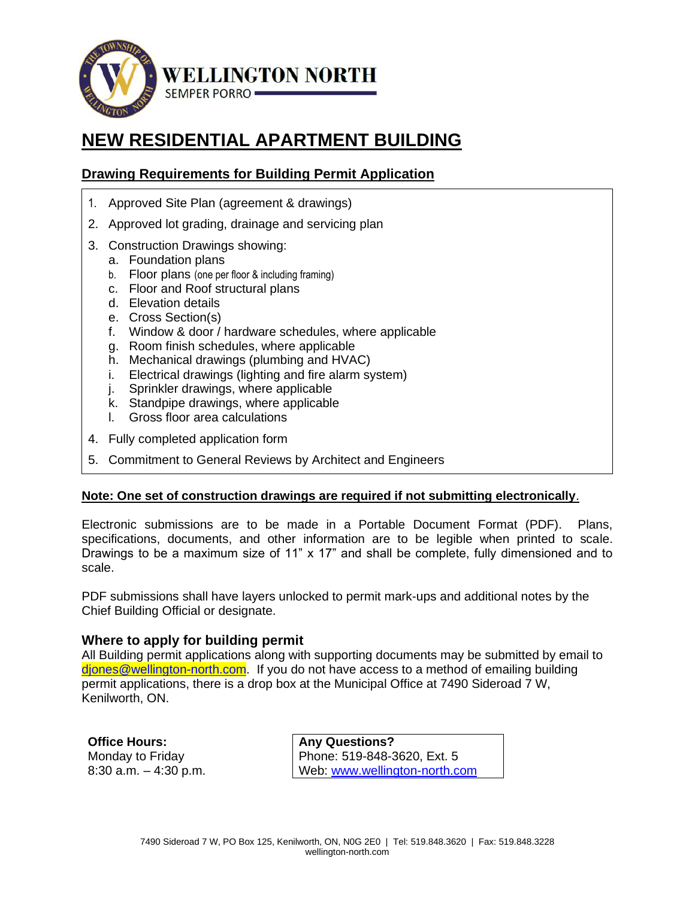

# **NEW RESIDENTIAL APARTMENT BUILDING**

# **Drawing Requirements for Building Permit Application**

- 1. Approved Site Plan (agreement & drawings)
- 2. Approved lot grading, drainage and servicing plan
- 3. Construction Drawings showing:
	- a. Foundation plans
	- b. Floor plans (one per floor & including framing)
	- c. Floor and Roof structural plans
	- d. Elevation details
	- e. Cross Section(s)
	- f. Window & door / hardware schedules, where applicable
	- g. Room finish schedules, where applicable
	- h. Mechanical drawings (plumbing and HVAC)
	- i. Electrical drawings (lighting and fire alarm system)
	- j. Sprinkler drawings, where applicable
	- k. Standpipe drawings, where applicable
	- l. Gross floor area calculations
- 4. Fully completed application form
- 5. Commitment to General Reviews by Architect and Engineers

#### **Note: One set of construction drawings are required if not submitting electronically**.

Electronic submissions are to be made in a Portable Document Format (PDF). Plans, specifications, documents, and other information are to be legible when printed to scale. Drawings to be a maximum size of 11"  $\times$  17" and shall be complete, fully dimensioned and to scale.

PDF submissions shall have layers unlocked to permit mark-ups and additional notes by the Chief Building Official or designate.

#### **Where to apply for building permit**

All Building permit applications along with supporting documents may be submitted by email to [djones@wellington-north.com.](mailto:djones@wellington-north.com) If you do not have access to a method of emailing building permit applications, there is a drop box at the Municipal Office at 7490 Sideroad 7 W, Kenilworth, ON.

**Office Hours:**  Monday to Friday 8:30 a.m. – 4:30 p.m.

**Any Questions?**  Phone: 519-848-3620, Ext. 5 Web: [www.wellington-north.com](http://www.wellington-north.com/)